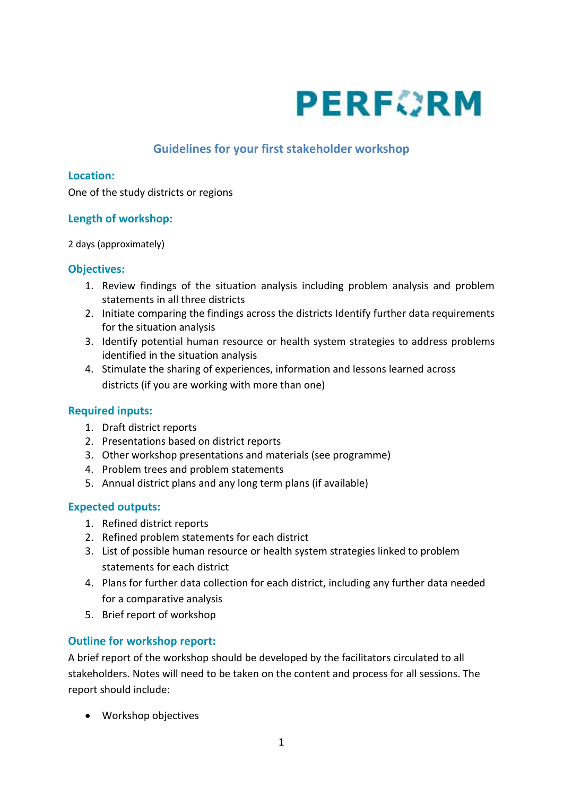

# **Guidelines for your first stakeholder workshop**

#### **Location:**

One of the study districts or regions

## **Length of workshop:**

2 days (approximately)

#### **Objectives:**

- 1. Review findings of the situation analysis including problem analysis and problem statements in all three districts
- 2. Initiate comparing the findings across the districts Identify further data requirements for the situation analysis
- 3. Identify potential human resource or health system strategies to address problems identified in the situation analysis
- 4. Stimulate the sharing of experiences, information and lessons learned across districts (if you are working with more than one)

## **Required inputs:**

- 1. Draft district reports
- 2. Presentations based on district reports
- 3. Other workshop presentations and materials (see programme)
- 4. Problem trees and problem statements
- 5. Annual district plans and any long term plans (if available)

## **Expected outputs:**

- 1. Refined district reports
- 2. Refined problem statements for each district
- 3. List of possible human resource or health system strategies linked to problem statements for each district
- 4. Plans for further data collection for each district, including any further data needed for a comparative analysis
- 5. Brief report of workshop

## **Outline for workshop report:**

A brief report of the workshop should be developed by the facilitators circulated to all stakeholders. Notes will need to be taken on the content and process for all sessions. The report should include:

Workshop objectives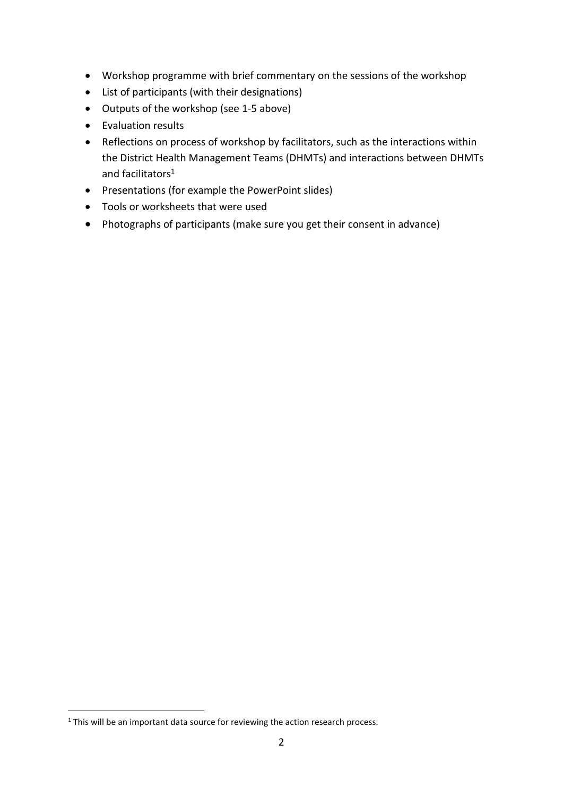- Workshop programme with brief commentary on the sessions of the workshop
- List of participants (with their designations)
- Outputs of the workshop (see 1-5 above)
- Evaluation results
- Reflections on process of workshop by facilitators, such as the interactions within the District Health Management Teams (DHMTs) and interactions between DHMTs and facilitators<sup>1</sup>
- Presentations (for example the PowerPoint slides)
- Tools or worksheets that were used
- Photographs of participants (make sure you get their consent in advance)

1

<sup>&</sup>lt;sup>1</sup> This will be an important data source for reviewing the action research process.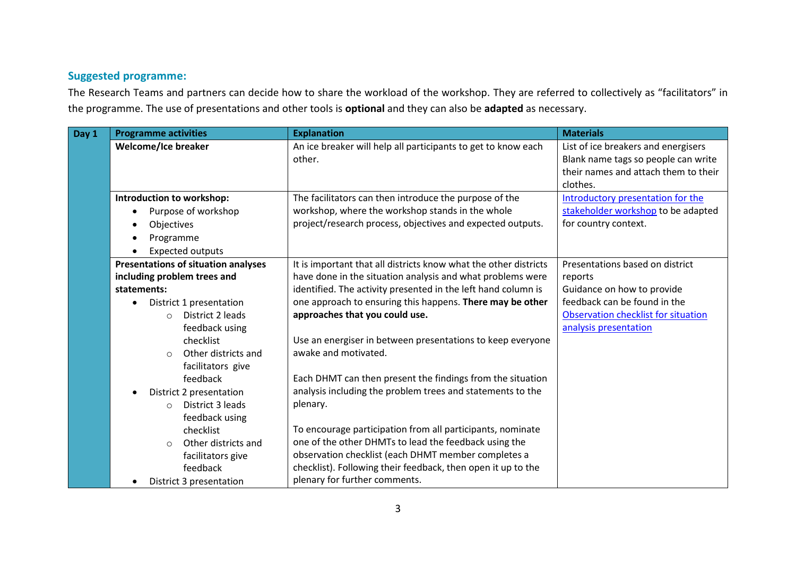# **Suggested programme:**

The Research Teams and partners can decide how to share the workload of the workshop. They are referred to collectively as "facilitators" in the programme. The use of presentations and other tools is **optional** and they can also be **adapted** as necessary.

| Day 1 | <b>Programme activities</b>                | <b>Explanation</b>                                               | <b>Materials</b>                     |
|-------|--------------------------------------------|------------------------------------------------------------------|--------------------------------------|
|       | <b>Welcome/Ice breaker</b>                 | An ice breaker will help all participants to get to know each    | List of ice breakers and energisers  |
|       |                                            | other.                                                           | Blank name tags so people can write  |
|       |                                            |                                                                  | their names and attach them to their |
|       |                                            |                                                                  | clothes.                             |
|       | Introduction to workshop:                  | The facilitators can then introduce the purpose of the           | Introductory presentation for the    |
|       | Purpose of workshop                        | workshop, where the workshop stands in the whole                 | stakeholder workshop to be adapted   |
|       | Objectives<br>$\bullet$                    | project/research process, objectives and expected outputs.       | for country context.                 |
|       | Programme                                  |                                                                  |                                      |
|       | <b>Expected outputs</b>                    |                                                                  |                                      |
|       | <b>Presentations of situation analyses</b> | It is important that all districts know what the other districts | Presentations based on district      |
|       | including problem trees and                | have done in the situation analysis and what problems were       | reports                              |
|       | statements:                                | identified. The activity presented in the left hand column is    | Guidance on how to provide           |
|       | District 1 presentation                    | one approach to ensuring this happens. There may be other        | feedback can be found in the         |
|       | District 2 leads<br>$\circ$                | approaches that you could use.                                   | Observation checklist for situation  |
|       | feedback using                             |                                                                  | analysis presentation                |
|       | checklist                                  | Use an energiser in between presentations to keep everyone       |                                      |
|       | Other districts and<br>$\circ$             | awake and motivated.                                             |                                      |
|       | facilitators give                          |                                                                  |                                      |
|       | feedback                                   | Each DHMT can then present the findings from the situation       |                                      |
|       | District 2 presentation                    | analysis including the problem trees and statements to the       |                                      |
|       | District 3 leads<br>$\circ$                | plenary.                                                         |                                      |
|       | feedback using                             |                                                                  |                                      |
|       | checklist                                  | To encourage participation from all participants, nominate       |                                      |
|       | Other districts and<br>$\circ$             | one of the other DHMTs to lead the feedback using the            |                                      |
|       | facilitators give                          | observation checklist (each DHMT member completes a              |                                      |
|       | feedback                                   | checklist). Following their feedback, then open it up to the     |                                      |
|       | District 3 presentation                    | plenary for further comments.                                    |                                      |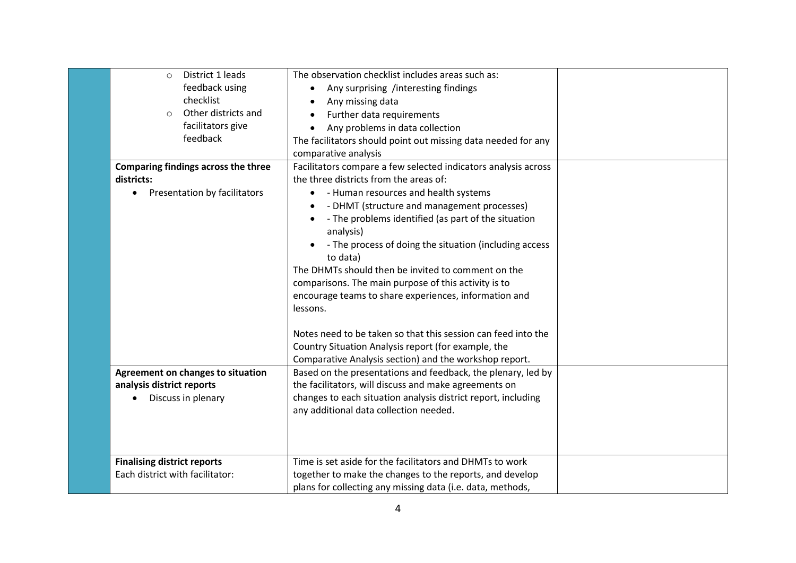| District 1 leads<br>$\circ$              | The observation checklist includes areas such as:              |  |
|------------------------------------------|----------------------------------------------------------------|--|
| feedback using                           | Any surprising /interesting findings                           |  |
| checklist                                | Any missing data                                               |  |
| Other districts and<br>$\circ$           | Further data requirements                                      |  |
| facilitators give                        | Any problems in data collection                                |  |
| feedback                                 | The facilitators should point out missing data needed for any  |  |
|                                          | comparative analysis                                           |  |
| Comparing findings across the three      | Facilitators compare a few selected indicators analysis across |  |
| districts:                               | the three districts from the areas of:                         |  |
| Presentation by facilitators             | - Human resources and health systems                           |  |
|                                          | - DHMT (structure and management processes)                    |  |
|                                          | - The problems identified (as part of the situation            |  |
|                                          | analysis)                                                      |  |
|                                          | - The process of doing the situation (including access         |  |
|                                          | to data)                                                       |  |
|                                          | The DHMTs should then be invited to comment on the             |  |
|                                          | comparisons. The main purpose of this activity is to           |  |
|                                          | encourage teams to share experiences, information and          |  |
|                                          | lessons.                                                       |  |
|                                          | Notes need to be taken so that this session can feed into the  |  |
|                                          | Country Situation Analysis report (for example, the            |  |
|                                          | Comparative Analysis section) and the workshop report.         |  |
| <b>Agreement on changes to situation</b> | Based on the presentations and feedback, the plenary, led by   |  |
| analysis district reports                | the facilitators, will discuss and make agreements on          |  |
| Discuss in plenary                       | changes to each situation analysis district report, including  |  |
|                                          | any additional data collection needed.                         |  |
|                                          |                                                                |  |
|                                          |                                                                |  |
| <b>Finalising district reports</b>       | Time is set aside for the facilitators and DHMTs to work       |  |
| Each district with facilitator:          | together to make the changes to the reports, and develop       |  |
|                                          | plans for collecting any missing data (i.e. data, methods,     |  |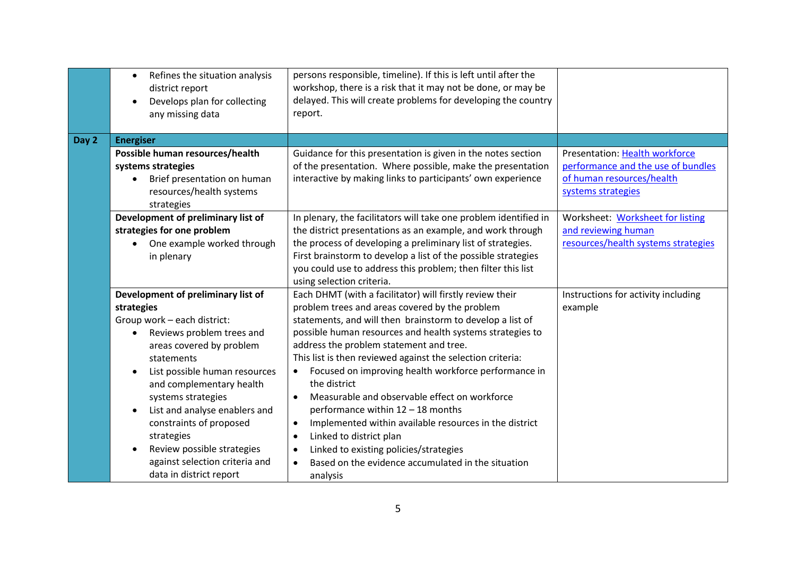|       | Refines the situation analysis<br>$\bullet$<br>district report<br>Develops plan for collecting<br>$\bullet$<br>any missing data                                                                                                                                                                                                                                                                                             | persons responsible, timeline). If this is left until after the<br>workshop, there is a risk that it may not be done, or may be<br>delayed. This will create problems for developing the country<br>report.                                                                                                                                                                                                                                                                                                                                                                                                                                                                                                                                                                   |                                                                                                                         |
|-------|-----------------------------------------------------------------------------------------------------------------------------------------------------------------------------------------------------------------------------------------------------------------------------------------------------------------------------------------------------------------------------------------------------------------------------|-------------------------------------------------------------------------------------------------------------------------------------------------------------------------------------------------------------------------------------------------------------------------------------------------------------------------------------------------------------------------------------------------------------------------------------------------------------------------------------------------------------------------------------------------------------------------------------------------------------------------------------------------------------------------------------------------------------------------------------------------------------------------------|-------------------------------------------------------------------------------------------------------------------------|
| Day 2 | <b>Energiser</b>                                                                                                                                                                                                                                                                                                                                                                                                            |                                                                                                                                                                                                                                                                                                                                                                                                                                                                                                                                                                                                                                                                                                                                                                               |                                                                                                                         |
|       | Possible human resources/health<br>systems strategies<br>Brief presentation on human<br>resources/health systems<br>strategies                                                                                                                                                                                                                                                                                              | Guidance for this presentation is given in the notes section<br>of the presentation. Where possible, make the presentation<br>interactive by making links to participants' own experience                                                                                                                                                                                                                                                                                                                                                                                                                                                                                                                                                                                     | Presentation: Health workforce<br>performance and the use of bundles<br>of human resources/health<br>systems strategies |
|       | Development of preliminary list of<br>strategies for one problem<br>One example worked through<br>in plenary                                                                                                                                                                                                                                                                                                                | In plenary, the facilitators will take one problem identified in<br>the district presentations as an example, and work through<br>the process of developing a preliminary list of strategies.<br>First brainstorm to develop a list of the possible strategies<br>you could use to address this problem; then filter this list<br>using selection criteria.                                                                                                                                                                                                                                                                                                                                                                                                                   | Worksheet: Worksheet for listing<br>and reviewing human<br>resources/health systems strategies                          |
|       | Development of preliminary list of<br>strategies<br>Group work - each district:<br>Reviews problem trees and<br>$\bullet$<br>areas covered by problem<br>statements<br>List possible human resources<br>and complementary health<br>systems strategies<br>List and analyse enablers and<br>constraints of proposed<br>strategies<br>Review possible strategies<br>against selection criteria and<br>data in district report | Each DHMT (with a facilitator) will firstly review their<br>problem trees and areas covered by the problem<br>statements, and will then brainstorm to develop a list of<br>possible human resources and health systems strategies to<br>address the problem statement and tree.<br>This list is then reviewed against the selection criteria:<br>Focused on improving health workforce performance in<br>the district<br>Measurable and observable effect on workforce<br>$\bullet$<br>performance within 12 - 18 months<br>Implemented within available resources in the district<br>$\bullet$<br>Linked to district plan<br>$\bullet$<br>Linked to existing policies/strategies<br>$\bullet$<br>Based on the evidence accumulated in the situation<br>$\bullet$<br>analysis | Instructions for activity including<br>example                                                                          |